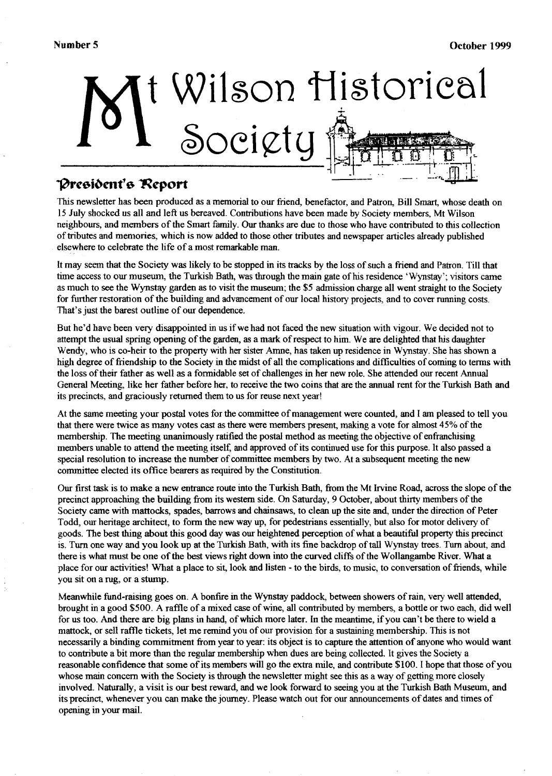# **t Wilg;on tiig;toricat**  Society

# \*President's \*Report

This newsletter has been produced as a memorial to our friend, benefactor, and Patron, Bill Smart, whose death on 15 July shocked us all and left us bereaved. Contributions have been made by Society members, Mt Wilson neighbours, and members of the Smart family. Our thanks are due to those who have contributed to this collection of tributes and memories, which is now added to those other tributes and newspaper articles already published elsewhere to celebrate the life of a most remarkable man.

It may seem that the Society was likely to be stopped in its tracks by the loss of such a friend and Patron. Till that time access to our museum, the Turkish Bath, was through the main gate of his residence 'Wynstay'; visitors came as much to see the Wynstay garden as to visit the museum; the \$5 admission charge all went straight to the Society for further restoration of the building and advancement of our local history projects, and to cover running costs. That's just the barest outline of our dependence.

But he'd have been very disappointed in us if we had not faced the new situation with vigour. We decided not to attempt the usual spring opening of the garden, as a mark of respect to him. We are delighted that his daughter Wendy, who is co-heir to the property with her sister Amne, has taken up residence in Wynstay. She has shown a high degree of friendship to the Society in the midst of all the complications and difficulties of coming to terms with the loss of their father as well as a formidable set of challenges in her new role. She attended our recent Annual General Meeting, like her father before her, to receive the two coins that are the annual rent for the Turkish Bath and its precincts, and graciously returned them to us for reuse next year!

At the same meeting your postal votes for the committee of management were counted, and I am pleased to tell you that there were twice as many votes cast as there were members present, making a vote for ahnost 45% of the membership. The meeting unanimously ratified the postal method as meeting the objective of enfranchising members unable to attend the meeting itself, and approved of its continued use for this purpose. It also passed a special resolution to increase the number of committee members by two. At a subsequent meeting the new committee elected its office bearers as required by the Constitution.

Our first task is to make a new entrance route into the Turkish Bath, from the Mt Irvine Road, across the slope of the precinct approaching the building from its western side. On Saturday, 9 October, about thirty members of the Society came with mattocks, spades, barrows and chainsaws, to clean up the site and, under the direction of Peter Todd, our heritage architect, to form the new way up, for pedestrians essentially, but also for motor delivery of goods. The best thing about this good day was our heightened perception of what a beautiful property this precinct is. Turn one way and you look up at the Turkish Bath, with its fine backdrop of tall Wynstay trees. Turn about, and there is what must be one of the best views right down into the curved cliffs of the Wollangambe River. What a place for our activities! What a place to sit, look and listen - to the birds, to music, to conversation of friends, while you sit on a rug, or a stwnp.

Meanwhile fund-raising goes on. A bonfire in the Wynstay paddock, between showers of rain, very well attended, brought in a good \$500. A raffle of a mixed case of wine, all contributed by members, a bottle or two each, did well for us too. And there are big plans in hand, of which more later. In the meantime, if you can't be there to wield a mattock, or sell raffle tickets, let me remind you of our provision for a sustaining membership. This is not necessarily a binding commitment from year to year: its object is to capture the attention of anyone who would want to contribute a bit more than the regular membership when dues are being collected. It gives the Society a reasonable confidence that some of its members will go the extra mile, and contribute \$100. I hope that those of you whose main concern with the Society is through the newsletter might see this as a way of getting more closely involved. Naturally, a visit is our best reward, and we look forward to seeing you at the Turkish Bath Museum, and its precinct, whenever you can make the journey. Please watch out for our announcements of dates and times of opening in your mail.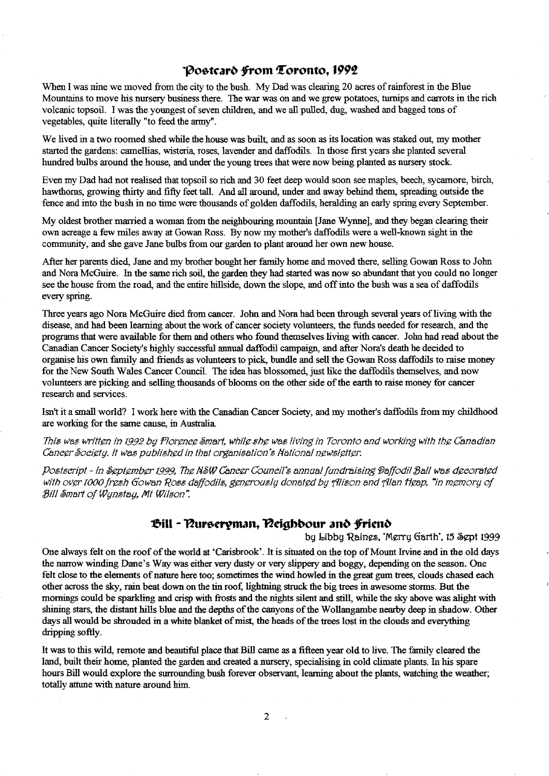#### **120&tcaro from** *Eoronto*, 1992

When I was nine we moved from the city to the bush. My Dad was clearing 20 acres of rainforest in the Blue Mountains to move his nursery business there. The war was on and we grew potatoes, turnips and carrots in the rich volcanic topsoil. I was the youngest of seven children, and we all pulled, dug, washed and bagged tons of vegetables, quite literally "to feed the army".

We lived in a two roomed shed while the house was built, and as soon as its location was staked out, my mother started the gardens: camellias, wisteria, roses, lavender and daffodils. In those first years she planted several hundred bulbs around the house, and under the young trees that were now being planted as nursery stock.

Even my Dad had not realised that topsoil so rich and 30 feet deep would soon see maples, beech, sycamore, birch, hawthorns, growing thirty and fifty feet taIl. And all around, under and away behind them, spreading outside the fence and into the bush in no time were thousands of golden daffodils, heralding an early spring every September.

My oldest brother mamed a woman from the neighbouring mountain [Jane Wynne], and they began clearing their own acreage a few miles away at Gowan Ross. By now my mother's daffodils were a well-known sight in the community, and she gave Jane bulbs from our garden to plant around her own new house.

After her parents died, Jane and my brother bought her family home and moved there, selling Gowan Ross to John and Nora McGuire. In the same rich soil, the garden they had started was now so abundant that you could no longer see the house from the road, and the entire hillside, down the slope, and off into the bush was a sea of daffodils every spring.

Three years ago Nora McGuire died from cancer. John and Nora had been through several years of living with the disease, and had been learning about the work of cancer society volunteers, the funds needed for research, and the programs that were available for them and others who found themselves living with cancer. John had read about the Canadian Cancer Society's highly successful annual daffodil campaign, and after Nora's death he decided to organise his own family and friends as volunteers to pick, bundle and sell the Gowan Ross daffodils to raise money for the New South Wales Cancer Council. The idea has blossomed, just like the daffodils themselves, and now volunteers are picking and selling thousands of blooms on the other side of the earth to raise money for cancer research and services.

Isn't it a small world? I work here with the Canadian Cancer Society, and my mother's daffodils from my childhood are working for the same cause, in Australia.

This was written in 1992 by Florence Smart, while she was living in Toronto and working with the Canadian Caneer Soeiety. It was published in that organisation's National newsletter.

Postscript - In September 1999, The NSW Cancer Council's annual fundraising Paffodil Ball was decorated with over 1000 fresh Gowan Ross daffodils, generously donated by fllison and fllan fleap, "in memory of Bill Smart of Wynstay, Mt Wilson".

# $Bill - Plurserpman, Peqgbbour and Frienô$

by Libby Raings, 'Mgrry Garth', 15 Sgpt 1999

One always felt on the roof of the world at 'Carisbrook'. It is situated on the top of Mount Irvine and in the old days the narrow winding Dane's Way was either very dusty or very slippery and boggy, depending on the season. One felt close to the elements of nature here too; sometimes the wind howled in the great gum trees, clouds chased each other across the sky, rain beat down on the tin roof, lightning struck the big trees in awesome storms. But the mornings could be sparkling and crisp with frosts and the nights silent and still, while the sky above was alight with shining stars, the distant hills blue and the depths of the canyons of the Wollangambe nearby deep in shadow. Other days all would be shrouded in a white blanket of mist, the heads of the trees lost in the clouds and everything dripping softly.

It was to this wild, remote and beautiful place that Bill came as a fifteen year old to live. The family cleared the land, built their home, planted the garden and created a nursery, specialising in cold climate plants. In his spare hours Bill would explore the surrounding bush forever observant, learning about the plants, watching the weather; totally attune with nature around him.

 $\sim$  .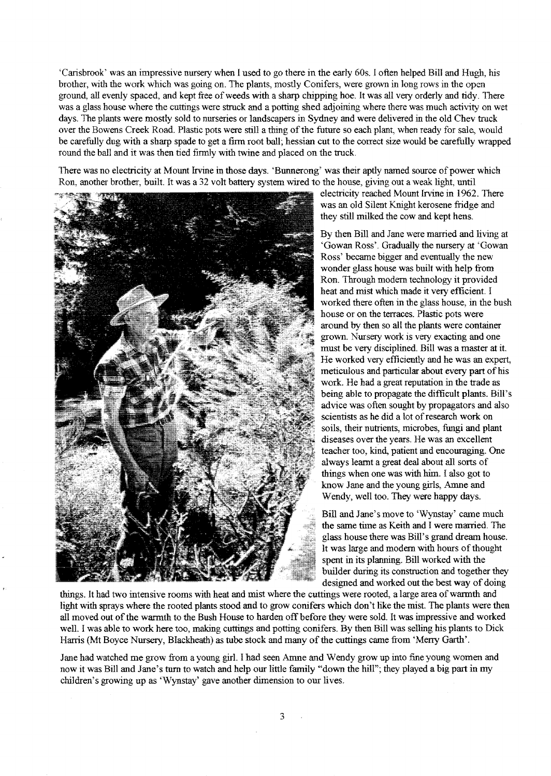'Carisbrook' was an impressive nursery when I used to go there in the early 60s. I often helped Bill and Hugh, his brother, with the work which was going on. The plants, mostly Conifers, were grown in long rows in the open ground, all evenly spaced, and kept free of weeds with a sharp chipping hoe. It was all very orderly and tidy. There was a glass house where the cuttings were struck and a potting shed adjoining where there was much activity on wet days. The plants were mostly sold to nurseries or landscapers in Sydney and were delivered in the old Chev truck over the Bowens Creek Road. Plastic pots were still a thing of the future so each plant, when ready for sale, would be carefully dug with a sharp spade to get a firm root ball; hessian cut to the correct size would be carefully wrapped round the ball and it was then tied firmly with twine and placed on the truck.

There was no electricity at Mount Irvine in those days. 'Bunnerong' was their aptly named source of power which Ron, another brother, built. It was a 32 volt battery system wired to the house, giving out a weak light, until



.'

electricity reached Mount Irvine in 1962. There was an old Silent Knight kerosene fridge and they still milked the cow and kept hens.

By then Bill and Jane were married and living at 'Gowan Ross'. Gradually the nursery at 'Gowan Ross' became bigger and eventually the new wonder glass house was built with help from Ron. Through modern technology it provided heat and mist which made it very efficient. I worked there often in the glass house, in the bush house or on the terraces. Plastic pots were around by then so all the plants were container grown. Nursery work is very exacting and one must be very disciplined. Bill was a master at it. He worked very efficiently and he was an expert, meticulous and particular about every part of his work. He had a great reputation in the trade as being able to propagate the difficult plants. Bill's advice was often sought by propagators and also scientists as he did a lot of research work on soils, their nutrients, microbes, fungi and plant diseases over the years. He was an excellent teacher too, kind, patient and encouraging. One always learnt a great deal about all sorts of things when one was with him. I also got to know Jane and the young girls, Amne and Wendy, well too. They were happy days.

Bill and Jane's move to 'Wynstay' came much the same time as Keith and I were married. The glass house there was Bill's grand dream house. It was large and modern with hours of thought spent in its planning. Bill worked with the builder during its construction and together they designed and worked out the best way of doing

things. It had two intensive rooms with heat and mist where the cuttings were rooted, a large area of warmth and light with sprays where the rooted plants stood and to grow conifers which don't like the mist. The plants were then all moved out of the warmth to the Bush House to harden off before they were sold. It was impressive and worked well. I was able to work here too, making cuttings and potting conifers. By then Bill was selling his plants to Dick Harris (Mt Boyce Nursery, Blackheath) as tube stock and many of the cuttings came from 'Merry Garth'.

Jane had watched me grow from a young girl. I had seen Amne and Wendy grow up into fine young women and now it was Bill and Jane's turn to watch and help our little family "down the hill"; they played a big partin my children's growing up as 'Wynstay' gave another dimension to our lives.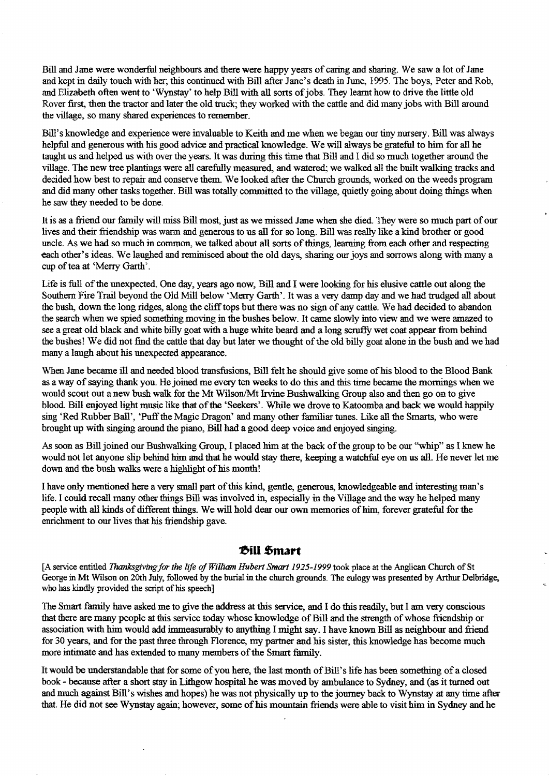Bill and Jane were wonderful neighbours and there were happy years of caring and sharing. We saw a lot of Jane and kept in daily touch with her; this continued with Bill after Jane's death in June, 1995. The boys, Peter and Rob, and Elizabeth often went to 'Wynstay' to help Bill with all sorts of jobs. They learnt how to drive the little old Rover first, then the tractor and later the old truck; they worked with the cattle and did many jobs with Bill around the village, so many shared experiences to remember.

Bill's knowledge and experience were invaluable to Keith and me when we began our tiny nursery. Bill was always helpful and generous with his good advice and practical knowledge. We will always be grateful to him for all he taught us and helped us with over the years. It was during this time that Bill and I did so much together around the village. The new tree plantings were all carefully measured, and watered; we walked all the built walking tracks and decided how best to repair and conserve them. We looked after the Church grounds, worked on the weeds program and did many other tasks together. Bill was totally committed to the village, quietly going about doing things when he saw they needed to be done.

It is as a friend our family will miss Bill most, just as we missed Jane when she died. They were so much part of our lives and their friendship was warm and generous to us all for so long. Bill was really like a kind brother or good uncle. As we had so much in common, we talked about all sorts of things, learning from each other and respecting each other's ideas. We laughed and reminisced about the old days, sharing our joys and sorrows along with many a cup of tea at 'Merry Garth'.

Life is full of the unexpected. One day, years ago now, Bill and I were looking for his elusive cattle out along the Southern Fire Trail beyond the Old Mill below 'Merry Garth'. It was a very damp day and we had trudged all about the bush, down the long ridges, along the cliff tops but there was no sign of any cattle. We had decided to abandon the search when we spied something moving in the bushes below. It came slowly into view and we were amazed to see a great old black and white billy goat with a huge white beard and a long scruffy wet coat appear from behind the bushes! We did not find the cattle that day but later we thought of the old billy goat alone in the bush and we had many a laugh about his unexpected appearance.

When Jane became ill and needed blood transfusions, Bill felt he should give some of his blood to the Blood Bank as a way of saying thank you. He joined me every ten weeks to do this and this time became the mornings when we would scout out a new bush walk for the Mt Wilson/Mt Irvine Bushwalking Group also and then go on to give blood. Bill enjoyed light music like that of the 'Seekers'. While we drove to Katoomba and back we would happily sing 'Red Rubber Ball', 'Puff the Magic Dragon' and many other familiar tunes. Like all the Smarts, who were brought up with singing around the piano, Bill had a good deep voice and enjoyed singing.

As soon as Bill joined our Bushwalking Group, I placed him at the back of the group to be our ''whip'' as I knew he would not let anyone slip behind him and that he would stay there, keeping a watchful eye on us all. He never let me down and the bush walks were a highlight of his month!

I have only mentioned here a very small part of this kind, gentle, generous, knowledgeable and interesting man's life. I could recall many other things Bill was involved in, especially in the Village and the way he helped many people with all kinds of different things. We will hold dear our own memories ofhim, forever grateful for the enrichment to our lives that his friendship gave.

#### ~ill.\$mart

[A service entitled *Thanksgiving for the life of William Hubert Smart* 1925-1999 took place at the Anglican Church of St George in Mt Wilson on 20th July, followed by the burial in the church grounds. The eulogy was presented by Arthur Delbridge, who has kindly provided the script of his speech]

The Smart family have asked me to give the address at this service, and I do this readily, but I am very conscious that there are many people at this service today whose knowledge of Bill and the strength of whose friendship or association with him would add immeasurably to anything I might say. I have known Bill as neighbour and friend for 30 years, and for the past three through Florence, my partner and his sister, this knowledge has become much more intimate and has extended to many members of the Smart family.

It would be understandable that for some of you here, the last month of Bill's life has been something of a closed book - because after a short stay in Lithgow hospital he was moved by ambulance to Sydney, and (as it turned out and much against Bill's wishes and hopes) he was not physically up to the journey back to Wynstay at any time after that. He did not see Wynstay again; however, some of his mountain friends were able to visit him in Sydney and he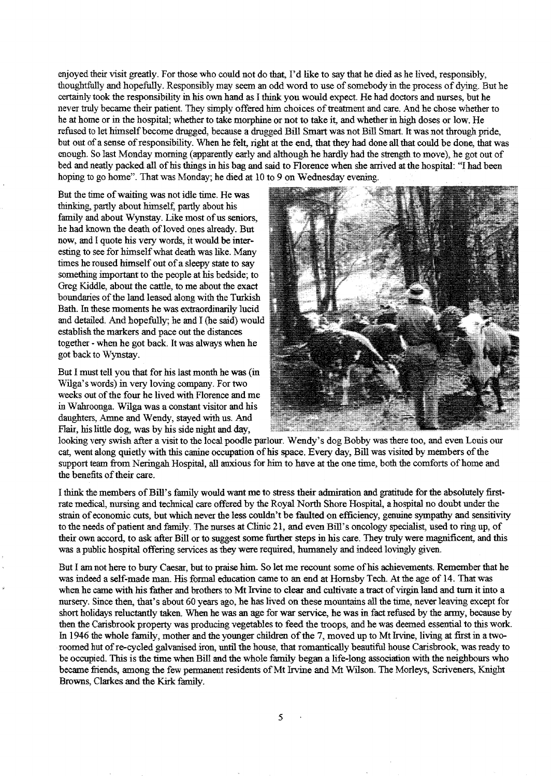enjoyed their visit greatly. For those who could not do that, I'd like to say that he died as he lived, responsibly, thoughtfully and hopefully. Responsibly may seem an odd word to use of somebody in the process of dyjng. But he certainly took the responsibility in his own hand as I think you would expect. He had doctors and nurses, but he never truly became their patient. They simply offered him choices of treatment and care. And he chose whether to he at home or in the hospital; whether to take morphine or not to take it, and whether in high doses or low. He refused to let himself become drugged, because a drugged Bill Smart was not Bill Smart. It was not through pride, but out of a sense of responsibility. When he felt, right at the end, that they had donea1l that could be done, that was enough. So last Monday morning (apparently early and although he hardly had the strengthto move), he got out of bed and neatly packed all of his things in his bag and said to Florence when she arrived at the hospital: "I had been hoping to go home". That was Monday; he died at 10 to 9 on Wednesday evening.

But the time of waiting was not idle time. He was thinking, partly about himself; partly about his family and about Wynstay. Like most of us seniors, he had known the death of loved ones already. But now, and I quote his very words, it would be interesting to see for himself what death was like. Many times he roused himself out of a sleepy state to say something important to the people at his bedside; to Greg Kiddle, about the cattle, to me about the exact boundaries of the land leased along with the Turkish Bath. In these moments he was extraordinarily lucid and detailed. And hopefully; he and I (he said) would establish the markers and pace out the distances together - when he got back. It was always when he got back to Wynstay.

But I must tell you that for his last month he was (in Wilga's words) in very loving company. For two weeks out of the four he lived with Florence and me in Wahroonga. Wilga was a constant visitor and his daughters, Amne and Wendy, stayed with us. And Flair, his little dog, was by his side night and day,



looking very swish after a visit to the local poodle parlour. Wendy's dog Bobby was there too, and even Louis our cat, went along quietly with this canine occupation of his space. Every day, Bill was visited by members of the support team from Neringah Hospital, all anxious for him to have at the one time, both the comforts of home and the benefits of their care.

I think the members of Bill's family would want me to stress their admiration and gratitude for the absolutely firstrate medical, nursing and technical care offered by the Royal North Shore Hospital, a hospital no doubt under the strain of economic cuts, but which never the less couldn't be faulted on efficiency, genuine sympathy and sensitivity to the needs of patient and family. The nurses at Clinic 21, and even Bill's oncology specialist, used to ring up, of their own accord, to ask after Bill or to suggest some further steps in his care. They truly were magnificent, and this was a public hospital offering services as they were required, humanely and indeed lovingly given.

But I am not here to bury Caesar, but to praise him. So let me recount some of his achievements. Remember that he was indeed a self-made man. His formal education came to an end at Hornsby Tech. At the age of 14. That was when he came with his father and brothers to Mt Irvine to clear and cultivate a tract of virgin land and tum it into a nursery. Since then, that's about 60 years ago, he has lived on these mountains all the time, never leaving except for short holidays reluctantly taken. When he was an age for war service, he was in fact refused by the army, because by then the Carisbrook property was producing vegetables to feed the troops, and he was deemed essential to this work. In 1946 the whole family, mother and the younger children of the 7, moved up to Mt Irvine, living at first in a tworoomed hut ofre-cycled galvanised iron, until the house, that romantically beautiful house Carisbrook, was ready to be occupied. This is the time when Bill and the whole family began a life-long association with the neighbours who became friends, among the few permanent residents of Mt Irvine and Mt Wilson. The Morleys, Scriveners, Knight Browns, Clarkes and the Kirk family.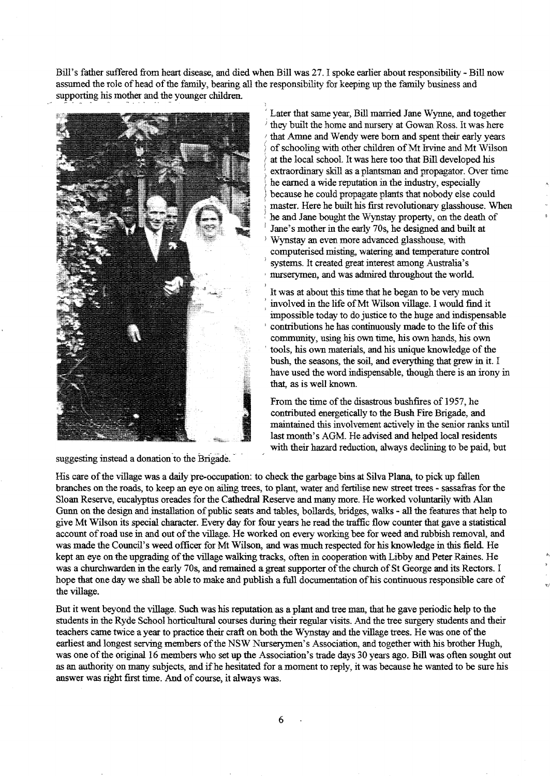Bill's father suffered from heart disease, and died when Bill was 27. I spoke earlier about responsibility - Bill now assumed the role of head of the family, bearing all the responsibility for keepmg up the family busmess and supporting his mother and the younger children.



suggesting instead a donation to the Brigade.

Later that same year, Bill married Jane Wynne, and together they built the home and nursery at Gowan Ross. It was here that Arme and Wendy were born and spent their early years of schooling with other children of Mt Irvine and Mt Wilson at the local school. It was here too that Bill developed his extraordinary skill as a plantsman and propagator. Over time he earned a wide reputation in the industry, especially because he could propagate plants that nobody else could master. Here he built his first revolutionary glasshouse. When he and Jane bought the Wynstay property, on the death of Jane's mother in the early 70s, he designed and built at ) Wynstay an even more advanced glasshouse, with computerised misting, watering and temperature control systems. It created great interest among Australia's ) nurserymen, and was admired throughout the world.

It was at about this time that he began to be very much involved in the life of Mt Wilson village. I would find it impossible today to do justice to the huge and indispensable contributions he has continuously made to the life of this community, using his own time, his own hands, his own , tools, his own materials, and his unique knowledge of the bush, the seasons, the soil, and everything that grew in it. I have used the word indispensable, though there is an irony in that. as is well known.

From the time of the disastrous bushfires of 1957, he contributed energetically to the Bush Fire Brigade, and maintained this involvement actively in the senior ranks until last month's AGM. He advised and helped local residents with their hazard reduction, always declining to be paid, but

His care of the village was a daily pre-occupation: to check the garbage bins at Silva Plana, to pick up fallen branches on the roads, to keep an eye on ailing trees, to plant, water and fertilise new street trees - sassafras for the Sloan Reserve, eucalyptus oreades for the Cathedral Reserve and many more. He worked voluntarily with Alan Gunn on the design and installation of public seats and tables, bollards, bridges, walks - all the features that help to give Mt Wilson its special character. Every day for four years he read the traffic flow counter that gave a statistical account of road use in and out of the village. He worked on every working bee for weed and rubbish removal, and was made the Council's weed officer for Mt Wilson, and was much respected for his knowledge in this field. He kept an eye on the upgrading of the village walking tracks, often in cooperation with Libby and Peter Raines. He was a churchwarden in the early 70s, and remained a great supporter of the church of St George and its Rectors. I hope that one day we shall be able to make and publish a full docmnentation of his continuous responsible care of the village.

But it went beyond the village. Such was his reputation as a plant and tree man, that he gave periodic help to the students in the Ryde School horticultural courses during their regular visits. And the tree surgery students and their teachers came twice a year to practice their craft on both the Wynstay and the village trees. He was one of the earliest and longest serving members of the NSW Nurserymen's Association, and together with his brother Hugh, was one of the original 16 members who set up the Association's trade days 30 years ago. Bill was often sought out as an authority on many subjects, and ifhe hesitated for a moment to reply, it was because he wanted to be sure his answer was right first time. And of course, it always was.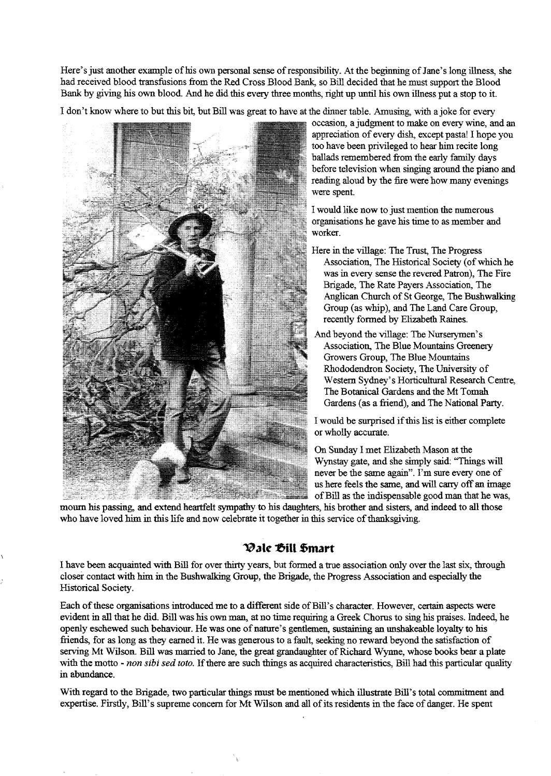Here's just another example of his own personal sense of responsibility. At the beginning of Jane's long illness, she had received blood transfusions from the Red Cross Blood Bank, so Bill decided that he must support the Blood Bank by giving his own blood. And he did this every three months, right up until his own illness put a stop to it.

I don't know where to but this bit, but Bill was great to have at the dinner table. Amusing, with a joke for every



occasion, a judgment to make on every wine, and an appreciation of every dish, except pasta! I hope you too have been privileged to hear him recite long ballads remembered from the early family days before television when singing around the piano and reading aloud by the fire were how many evenings were spent.

I would like now to just mention the numerous organisations he gave his time to as member and worker.

- Here in the village: The Trust, The Progress Association, The Historical Society (of which he was in every sense the revered Patron), The Fire Brigade, The Rate Payers Association, The Anglican Church of St George, The Bushwalking Group (as whip), and The Land Care Group, recently formed by Elizabeth Raines.
- And beyond the village: The Nurserymen's Association, The Blue Mountains Greenery Growers Group, The Blue Mountains Rhododendron Society, The University of Western Sydney's Horticultural Research Centre, The Botanical Gardens and the Mt Tomah Gardens (as a friend), and The National Party.

I would be surprised if this list is either complete or wholly accurate.

On Sunday I met Elizabeth Mason at the Wynstay gate, and she simply said: "Things will never be the same again". I'm sure every one of us here feels the same, and will carry off an image of Bill as the indispensable good man that he was,

mourn his passing, and extend heartfelt sympathy to his daughters, his brother and sisters, and indeed to all those who have loved him in this life and now celebrate it together in this service of thanksgiving.

# ~al~ ~ll **\$mart**

I have been acquainted with Bill for over thirty years, but formed a true association only over the last six, through closer contact with him in the BushwaIking Group, the Brigade, the Progress Association and especially the Historical Society.

Each of these organisations introduced me to a different side of Bill's character. However, certain aspects were evident in all that he did. Bill was his own man, at no time requiring a Greek Chorus to sing his praises. Indeed, he openly eschewed such behaviour. He was one of nature's gentlemen, sustaining an unshakeable loyalty to his friends, for as long as they earned it. He was generous to a fault, seeking no reward beyond the satisfaction of serving Mt Wilson. Bill was married to Jane, the great grandaughter of Richard Wynne, whose books bear a plate with the motto - *non sibi sed toto*. If there are such things as acquired characteristics, Bill had this particular quality in abundance.

With regard to the Brigade, two particular things must be mentioned which illustrate Bill's total committnent and expertise. Firstly, Bill's supreme concern for Mt Wilson and all of its residents in the face of danger. He spent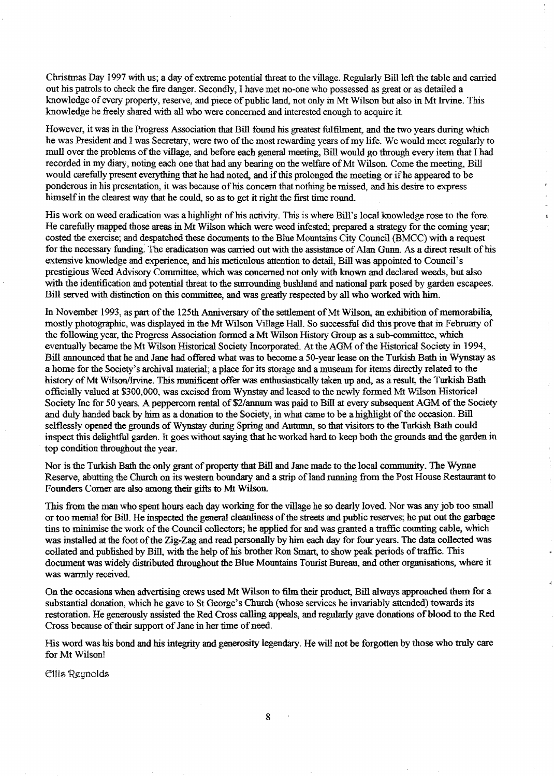Christmas Day 1997 with us; a day of extreme potential threat to the village. Regularly Bill left the table and carned out his patrols to check the fire danger. Secondly, I have met no-one who possessed as great or as detailed a knowledge of every property, reserve, and piece of public land, not only in Mt Wilson but also in Mt Irvine. This knowledge he freely shared with all who were concerned and interested enough to acquire it.

However, it was in the Progress Association that Bill found his greatest fulfilment, and the two years during which he was President and I was Secretary, were two of the most rewarding years of my life. We would meet regularly to mull over the problems of the village, and before each general meeting, Bill would go through every item that I had recorded in my diary, noting each one that had any bearing on the welfare of Mt Wilson. Come the meeting, Bill would carefully present everything that he had noted, and if this prolonged the meeting or ifhe appeared to be ponderous in his presentation, it was because of his concern that nothing be missed., and his desire to express himself in the clearest way that he could, so as to get it right the first time round.

His work on weed eradication was a highlight of his activity. This is where Bill's local knowledge rose to the fore. He carefully mapped those areas in Mt Wilson which were weed infested; prepared a strategy for the coming year; costed the exercise; and despatched these documents to the Blue Mountains City Council (BMCC) with a request for the necessary funding. The eradication was carried out with the assistance of Alan Gunn. As a direct result of his extensive knowledge and experience, and his meticulous attention to detail, Bill was appointed to Council's prestigious Weed Advisory Committee, which was concerned not only with known and declared weeds, but also with the identification and potential threat to the surrounding bushland and national park posed by garden escapees. Bill served with distinction on this committee, and was greatly respected by all who worked with him.

In November 1993, as part of the 125th Anniversary of the settlement of Mt Wilson, an exhibition of memorabilia, mostly photographic, was displayed in the Mt Wilson Village Hall. So successful did this prove that in February of the following year, the Progress Association fonned a Mt Wilson History Group as a sub-committee, which eventually became the Mt Wilson Historical Society Incorporated. At the AGM of the Historical Society in 1994, Bill announced that he and Jane had offered what was to become a 50-year lease on the Turkish Bath in Wynstayas a home for the Society's archival material; a place for its storage and a museum for items directly related to the history of Mt Wilson/Irvine. This munificent offer was enthusiastically taken up and, as a result, the Turkish Bath officially valued lit \$300,000, was excised from Wynstay and leased to the newly formed Mt Wilson Historical Society Inc for 50 years. A peppercorn rental of \$2/annum was paid to Bill at every subsequent AGM of the Society and duly handed back by him as a donation to the Society, in what came to be a highlight of the occasion. Bill selflessly opened the grounds of Wynstay during Spring and Autumn, so that visitors to the Turkish Bath could inspect this delightful garden. It goes without saying that he worked hard to keep both the grounds and the garden in top condition throughout the year.

Nor is the Turkish Bath the only grant of property that Bill and Jane made to the local community. The Wynne Reserve, abutting the Church on its western boundary and a strip of land running from the Post House Restaurant to Founders Comer are also among their gifts to Mt Wilson..

This from the man who spent hours each day working for the village he so dearly loved. Nor was any job too small or too menial for Bill. He inspected the general cleanliness of the streets and public reserves; heput out the garbage tins to minimise the work of the Council collectors; he applied for and was granted a traffic counting cable, which was installed at the foot of the Zig-Zag and read personally by him each day for four years. The data collected was collated and published by Bill, with the help of his brother Ron Smart, to show peak periods of traffic. This document was widely distributed throughout the Blue Mountains Tourist Bureau, and other organisations, where it was warmly received.

On the occasions when advertising crews used Mt Wilson to film their product, Bill always approached them for a substantial donation, which he gave to St George's Church (whose services he invariably attended) towards its restoration. He generously assisted the Red Cross calling appeals, and regularly gave donations of blood to the Red Cross because of their support of Jane in her time of need.

His word was his bond and his integrity and generosity legendary. He will not be forgotten by those who truly care for Mt Wilson!

Ellis Reynolds

 $\sim$   $\sim$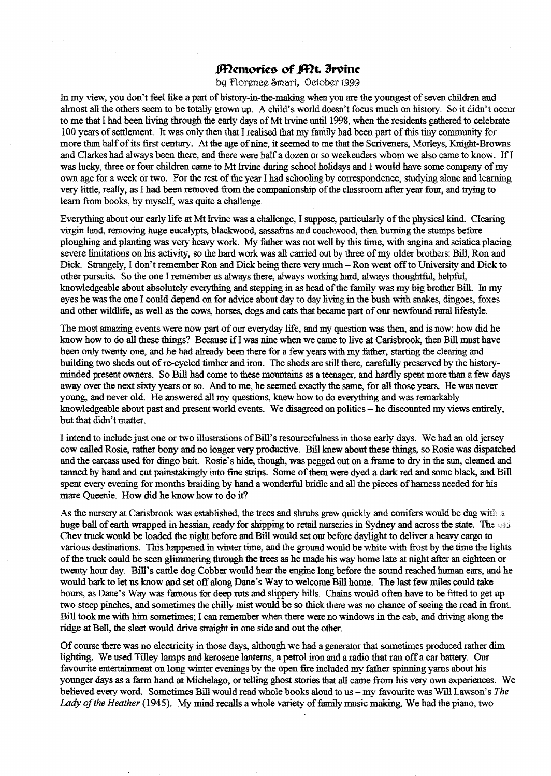### *ff2emories of ff2t. 3roine*

by Florence Smart, October 1999

In my view, you don't feel like a part of history-in-the-making when you are the youngest of seven children and almost all the others seem to be totally grown up. A child's world doesn't focus much on history. So it didn't occur to me that I had been living through the early days of Mt Irvine until 1998, when the residents gathered to celebrate 100 years of settlement. It was only then that I realised that my fanilly had been part of this tiny community for more than half of its first centmy. At the age of nine, it seemed to me that the Scriveners, Morleys, Knight-Browns and Clarkes had always been there, and there were half a dozen or so weekenders whom we also came to know. If I was lucky, three or four children came to Mt Irvine during school holidays and I would have some company of my own age for a week or two. For the rest of the year I had schooling by correspondence, studying alone and learning very little, really, as I had been removed from the companionship of the classroom after year four, and trying to learn from books, by myself, was quite a challenge.

Everything about our early life at Mt Irvine was a challenge, I suppose, particularly of the physical kind. Clearing virgin land, removing huge eucalypts, blackwood, sassafras and coach wood, then burning the stumps before ploughing and planting was very heavy work. My father was not well by this time, with angina and sciatica placing severe limitations on his activity, so the hard work was all carried out by three of my older brothers: Bill, Ron and Dick. Strangely, I don't remember Ron and Dick being there very much - Ron went off to University and Dick to other pursuits. So the one I remember as always there, always working hard, always thoughtful, helpful, knowledgeable about absolutely everything and stepping in as head of the family was my big brother Bill. In my eyes he was the one I could depend on for advice about day to day living in the bush with snakes, dingoes, foxes and other wildlife, as well as the cows, horses, dogs and cats that became part of our newfound rural lifestyle.

The most amazing events were now part of our everyday life, and my question was then, and is now: how did he know how to do all these things? Because if I was nine when we came to live at Carisbrook, then Bill must have been only twenty one, and he had already been there for a few years with my father, starting the clearing and building two sheds out of re-cycled timber and iron. The sheds are still there, carefully preserved by the historyminded present owners. So Bill had come to these mountains as a teenager, and hardly spent more than a few days away over the next sixty years or so. And to me, he seemed exactly the same, for all those years. He was never young, and never old. He answered all my questions, knew how to do everything and was remarkably knowledgeable about past and present world events. We disagreed on politics - he discounted my views entirely, but that didn't matter.

I intend to include just one or two illustrations of Bill's resourcefulness in those early days. We had an old jersey cow called Rosie., rather bony and no longer very productive. Bill knew about these things, so Rosie was dispatched and the carcass used for dingo bait. Rosie's hide, though, was pegged out on a frame to dry in the sun, cleaned and tanned by hand and cut painstakingly into fine strips. Some of them were dyed a dark red and some black, and Bill spent every evening for months braiding by hand a wonderful bridle and all the pieces of harness needed for his mare Queenie. How did he know how to do it?

As the nursery at Carisbrook was established, the trees and shrubs grew quickly and conifers would be dug with a huge ball of earth wrapped in hessian, ready for shipping to retail nurseries in Sydney and across the state. The  $\dot{\phi}$ Chev truck would be loaded the night before and Bill would set out before daylight to deliver a heavy cargo to various destinations. This happened in winter time, and the ground would be white with frost by the time the lights of the truck could be seen glimmering through the trees as he made his way home late at night after an eighteen or twenty hour day. Bill's cattle dog Cobber would hear the engine long before the sound reached human ears, and he would bark to let us know and set off along Dane's Way to welcome Bill home. The last few miles could take hours, as Dane's Way was famous for deep ruts and slippery hills. Chains would often have to be fitted to get up two steep pinches, and sometimes the chilly mist would be so thick there was no chance of seeing the road in front. Bill took me with him sometimes; I can remember when there were no windows in the cab, and driving along the ridge at Bell, the sleet would drive straight in one side and out the other.

Of course there was no electricity in those days, although we had a generator that sometimes produced rather dim lighting. We used Tilley lamps and kerosene lanterns, a petrol iron and a radio that ran off a car battexy. Our favomite entertainment on long winter evenings by the open fire included my father spinning yarns about his younger days as a farm hand at Michelago, or telling ghost stories that all came from his very own experiences. We believed every word. Sometimes Bill would read whole books aloud to us - my favomite was Will Lawson's *The Lady of the Heather* (1945). My mind recalls a whole variety of family music making. We had the piano, two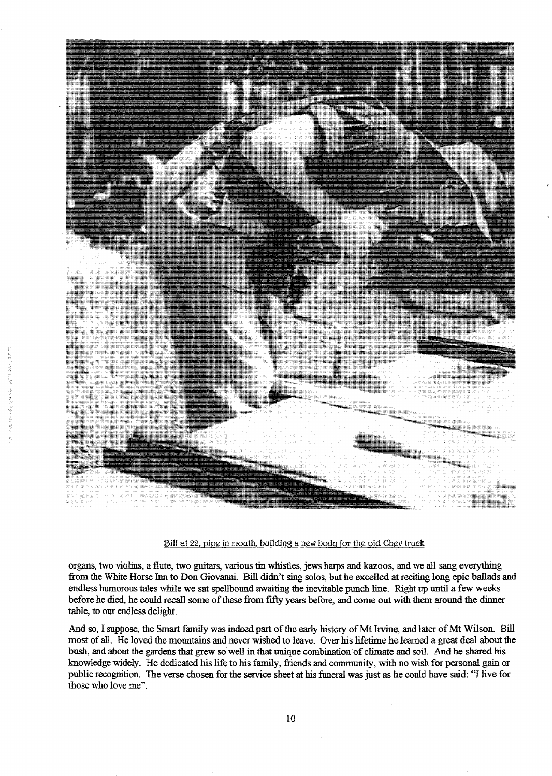![](_page_9_Picture_0.jpeg)

Bill at 22, pipe in mouth, building a new body for the old Chev truck

organs, two violins, a flute, two guitars, various tin whistles, jews harps and kazoos, and we all sang everything from the White Horse Inn to Don Giovanni. Bill didn't sing solos, but he excelled at reciting long epic ballads and endless humorous tales while we sat spellbound awaiting the inevitable punch line. Right up until a few weeks before he died, he could recall some of these from fifty years before, and come out with them around the dinner table, to our endless delight.

And so, I suppose, the Smart family was indeed part of the early history of Mt Irvine, and later of Mt Wilson. Bill most of all. He loved the mountains and never wished to leave. Over his lifetime he learned a great deal about the bush, and about the gardens that grew so well in that unique combination of climate and soil. And he shared his knowledge widely. He dedicated his life to his family, friends and community, with no wish for personal gain or public recognition. The verse chosen for the service sheet at his funeral was just as he could have said: "I live for those who love me".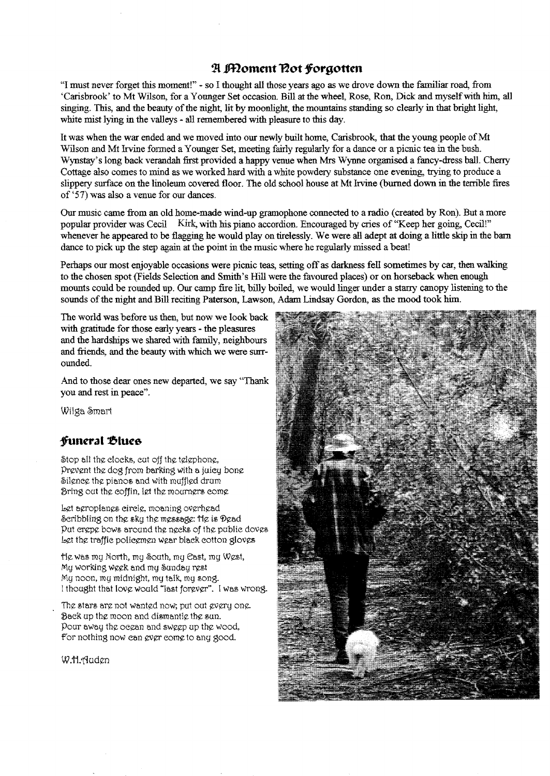# **<sup>21</sup>mommt 'Hot forgottm**

"I must never forget this moment!" • so I thought all those years ago as we drove down the familiar road, from 'Carisbrook' to Mt Wilson, for a Younger Set occasion. Bill at the wheel, Rose, Ron, Dick and myself with him. all singing. This, and the beauty of the night, lit by moonlight, the mountains standing so clearly in that bright light, white mist lying in the valleys - all remembered with pleasure to this day.

It was when the war ended and we moved into our newly built home, Carisbrook, that the young people of Mt Wilson and Mt Irvine formed a Younger Set, meeting fairly regularly for a dance or a picnic tea in the bush. Wynstay's long back verandah first provided a happy venue when Mrs Wynne organised a fancy-dress ball. Cherry Cottage also comes to mind as we worked hard with a white powdery substance one evening, trying to produce a slippery surface on the linoleum covered floor. The old school house at Mt Irvine (burned down in the terrible fires of '57) was also a venue for our dances.

Our music came from an old home-made wind-up gramophone connected to a radio (created by Ron). But a more popular provider was Cecil Kirk, with his piano accordion. Encouraged by cries of "Keep her going, Cecil!" whenever he appeared to be flagging he would play on tirelessly. We were all adept at doing a little skip in the bam dance to pick up the step again at the point in the music where he regularly missed a beat!

Perhaps our most enjoyable occasions were picnic teas, setting off as darkness fell sometimes by car, then walking to the chosen spot (Fields Selection and Smith's Hill were the favoured places) or on horseback when enough mounts could be rounded up. Our camp fire lit, billy boiled, we would linger under a starry canopy listening to the sounds of the night and Bill reciting Paterson, Lawson, Adam Lindsay Gordon, as the mood took him.

The world was before us then, but now we look back with gratitude for those early years - the pleasures and the hardships we shared with family, neighbours and friends, and the beauty with which we were surrounded.

And to those dear ones new departed, we say "Thank you and rest in peace".

Wilga Smart

# **funcral Blues**

Stop all the clocks, cut off the telephone, pray ant the dog from barking with a juicy bone Silgneg thg pianos and with muffled drum Bring out the coffin, let the mourners come

Let aeroplanes circle, moaning overhead Scribbling on the sky the message: He is Dead Put ergpg bows around thg ngeks of thg public dovgs  $L$ s th $\alpha$  traffie polic $\epsilon$ m $\alpha$ n wear black cotton gloves

He was my North, my South, my Cast, my West, My working week and my Sunday rest My noon, my midnight, my talk, my song. I thought that lovg would "last forgvgr". I was wrong.

The stars are not wanted now; put out every one. Back up the moon and dismantle the sun. Pour away the ocean and sweep up the wood, for nothing now can ever come to any good.

W.H.Auden

![](_page_10_Picture_14.jpeg)